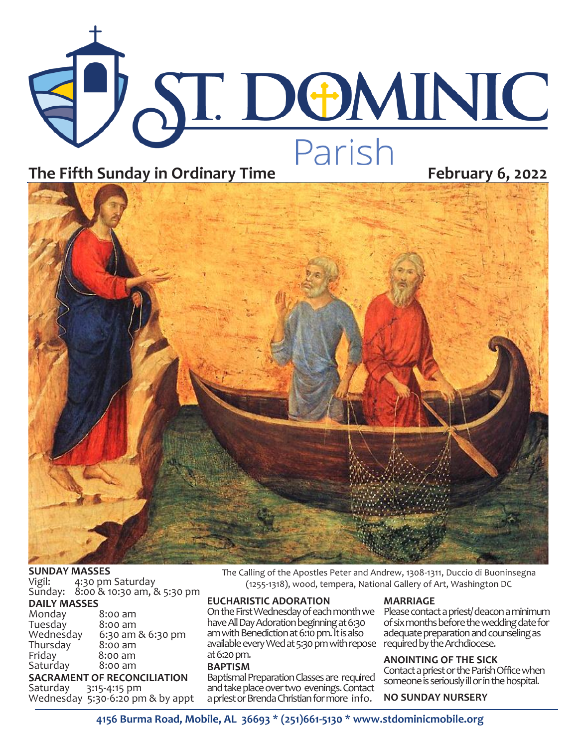



### **SUNDAY MASSES**

Vigil: 4:30 pm Saturday Sunday: 8:00 & 10:30 am, & 5:30 pm

## **DAILY MASSES**

| Monday    | 8:00 am           |
|-----------|-------------------|
| Tuesday   | 8:00 am           |
| Wednesday | 6:30 am & 6:30 pm |
| Thursday  | 8:00 am           |
| Friday    | 8:00 am           |
| Saturday  | $8:00$ am         |
|           |                   |

#### **SACRAMENT OF RECONCILIATION**<br>Saturday 3:15-4:15 pm 3:15-4:15 pm

Wednesday 5:30-6:20 pm & by appt

The Calling of the Apostles Peter and Andrew, 1308-1311, Duccio di Buoninsegna (1255-1318), wood, tempera, National Gallery of Art, Washington DC

### **EUCHARISTIC ADORATION**

On the First Wednesday of each month we have All Day Adoration beginning at 6:30 am with Benediction at 6:10 pm. It is also available every Wed at 5:30 pm with repose at 6:20 pm.

#### **BAPTISM**

Baptismal Preparation Classes are required and take place over two evenings. Contact a priest or Brenda Christian for more info.

#### **MARRIAGE**

Please contact a priest/ deacon a minimum of six months before the wedding date for adequate preparation and counseling as required by the Archdiocese.

### **ANOINTING OF THE SICK**

Contact a priest or the Parish Office when someone is seriously ill or in the hospital.

### **NO SUNDAY NURSERY**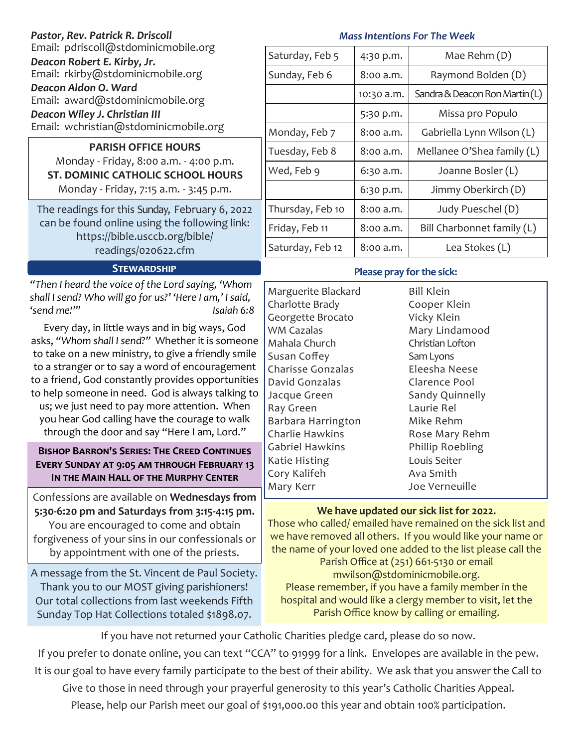| Pastor, Rev. Patrick R. Driscoll                                                                                                                                                                                                                        | <b>Mass Intentions For The Week</b>                                                  |            |                                                                               |  |
|---------------------------------------------------------------------------------------------------------------------------------------------------------------------------------------------------------------------------------------------------------|--------------------------------------------------------------------------------------|------------|-------------------------------------------------------------------------------|--|
| Email: pdriscoll@stdominicmobile.org<br>Deacon Robert E. Kirby, Jr.<br>Email: rkirby@stdominicmobile.org<br>Deacon Aldon O. Ward<br>Email: award@stdominicmobile.org<br>Deacon Wiley J. Christian III<br>Email: wchristian@stdominicmobile.org          | Saturday, Feb 5                                                                      | 4:30 p.m.  | Mae Rehm (D)                                                                  |  |
|                                                                                                                                                                                                                                                         | Sunday, Feb 6                                                                        | 8:00 a.m.  | Raymond Bolden (D)                                                            |  |
|                                                                                                                                                                                                                                                         |                                                                                      | 10:30 a.m. | Sandra & Deacon Ron Martin (L)                                                |  |
|                                                                                                                                                                                                                                                         |                                                                                      | 5:30 p.m.  | Missa pro Populo                                                              |  |
|                                                                                                                                                                                                                                                         | Monday, Feb 7                                                                        | 8:00 a.m.  | Gabriella Lynn Wilson (L)                                                     |  |
| <b>PARISH OFFICE HOURS</b><br>Monday - Friday, 8:00 a.m. - 4:00 p.m.<br><b>ST. DOMINIC CATHOLIC SCHOOL HOURS</b><br>Monday - Friday, 7:15 a.m. - 3:45 p.m.                                                                                              | Tuesday, Feb 8                                                                       | 8:00 a.m.  | Mellanee O'Shea family (L)                                                    |  |
|                                                                                                                                                                                                                                                         | Wed, Feb 9                                                                           | 6:30 a.m.  | Joanne Bosler (L)                                                             |  |
|                                                                                                                                                                                                                                                         |                                                                                      | 6:30 p.m.  | Jimmy Oberkirch (D)                                                           |  |
| The readings for this Sunday, February 6, 2022<br>can be found online using the following link:<br>https://bible.usccb.org/bible/                                                                                                                       | Thursday, Feb 10                                                                     | 8:00 a.m.  | Judy Pueschel (D)                                                             |  |
|                                                                                                                                                                                                                                                         | Friday, Feb 11                                                                       | 8:00 a.m.  | Bill Charbonnet family (L)                                                    |  |
| readings/020622.cfm                                                                                                                                                                                                                                     | Saturday, Feb 12                                                                     | 8:00 a.m.  | Lea Stokes (L)                                                                |  |
| <b>STEWARDSHIP</b>                                                                                                                                                                                                                                      | Please pray for the sick:                                                            |            |                                                                               |  |
| "Then I heard the voice of the Lord saying, 'Whom<br>shall I send? Who will go for us?' 'Here I am,' I said,<br>'send me!"<br>Isaiah 6:8                                                                                                                | Marguerite Blackard<br>Charlotte Brady<br>Georgette Brocato                          |            | <b>Bill Klein</b><br>Cooper Klein<br>Vicky Klein                              |  |
| Every day, in little ways and in big ways, God<br>asks, "Whom shall I send?" Whether it is someone<br>to take on a new ministry, to give a friendly smile<br>to a stranger or to say a word of encouragement                                            | <b>WM Cazalas</b><br>Mahala Church<br>Susan Coffey<br><b>Charisse Gonzalas</b>       |            | Mary Lindamood<br>Christian Lofton<br>Sam Lyons<br>Eleesha Neese              |  |
| to a friend, God constantly provides opportunities<br>to help someone in need. God is always talking to<br>us; we just need to pay more attention. When<br>you hear God calling have the courage to walk<br>through the door and say "Here I am, Lord." | David Gonzalas<br>Jacque Green<br>Ray Green<br>Barbara Harrington<br>Charlie Hawkins |            | Clarence Pool<br>Sandy Quinnelly<br>Laurie Rel<br>Mike Rehm<br>Rose Mary Rehm |  |

## **Bishop Barron's Series: The Creed Continues Every Sunday at 9:05 am through February 13 In the Main Hall of the Murphy Center**

Confessions are available on **Wednesdays from 5:30-6:20 pm and Saturdays from 3:15-4:15 pm.**  You are encouraged to come and obtain forgiveness of your sins in our confessionals or by appointment with one of the priests.

A message from the St. Vincent de Paul Society. Thank you to our MOST giving parishioners! Our total collections from last weekends Fifth Sunday Top Hat Collections totaled \$1898.07.

## **We have updated our sick list for 2022.**

Phillip Roebling Louis Seiter Ava Smith Joe Verneuille

Those who called/ emailed have remained on the sick list and we have removed all others. If you would like your name or the name of your loved one added to the list please call the Parish Office at (251) 661-5130 or email mwilson@stdominicmobile.org. Please remember, if you have a family member in the hospital and would like a clergy member to visit, let the Parish Office know by calling or emailing.

If you have not returned your Catholic Charities pledge card, please do so now. If you prefer to donate online, you can text "CCA" to 91999 for a link. Envelopes are available in the pew. It is our goal to have every family participate to the best of their ability. We ask that you answer the Call to

Gabriel Hawkins Katie Histing Cory Kalifeh Mary Kerr

Give to those in need through your prayerful generosity to this year's Catholic Charities Appeal.

Please, help our Parish meet our goal of \$191,000.00 this year and obtain 100% participation.